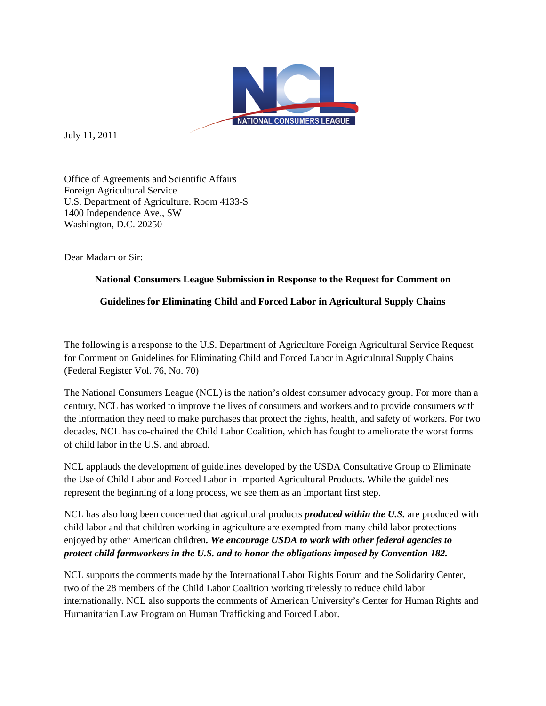

July 11, 2011

Office of Agreements and Scientific Affairs Foreign Agricultural Service U.S. Department of Agriculture. Room 4133-S 1400 Independence Ave., SW Washington, D.C. 20250

Dear Madam or Sir:

# **National Consumers League Submission in Response to the Request for Comment on**

# **Guidelines for Eliminating Child and Forced Labor in Agricultural Supply Chains**

The following is a response to the U.S. Department of Agriculture Foreign Agricultural Service Request for Comment on Guidelines for Eliminating Child and Forced Labor in Agricultural Supply Chains (Federal Register Vol. 76, No. 70)

The National Consumers League (NCL) is the nation's oldest consumer advocacy group. For more than a century, NCL has worked to improve the lives of consumers and workers and to provide consumers with the information they need to make purchases that protect the rights, health, and safety of workers. For two decades, NCL has co-chaired the Child Labor Coalition, which has fought to ameliorate the worst forms of child labor in the U.S. and abroad.

NCL applauds the development of guidelines developed by the USDA Consultative Group to Eliminate the Use of Child Labor and Forced Labor in Imported Agricultural Products. While the guidelines represent the beginning of a long process, we see them as an important first step.

NCL has also long been concerned that agricultural products *produced within the U.S.* are produced with child labor and that children working in agriculture are exempted from many child labor protections enjoyed by other American children*. We encourage USDA to work with other federal agencies to protect child farmworkers in the U.S. and to honor the obligations imposed by Convention 182.* 

NCL supports the comments made by the International Labor Rights Forum and the Solidarity Center, two of the 28 members of the Child Labor Coalition working tirelessly to reduce child labor internationally. NCL also supports the comments of American University's Center for Human Rights and Humanitarian Law Program on Human Trafficking and Forced Labor.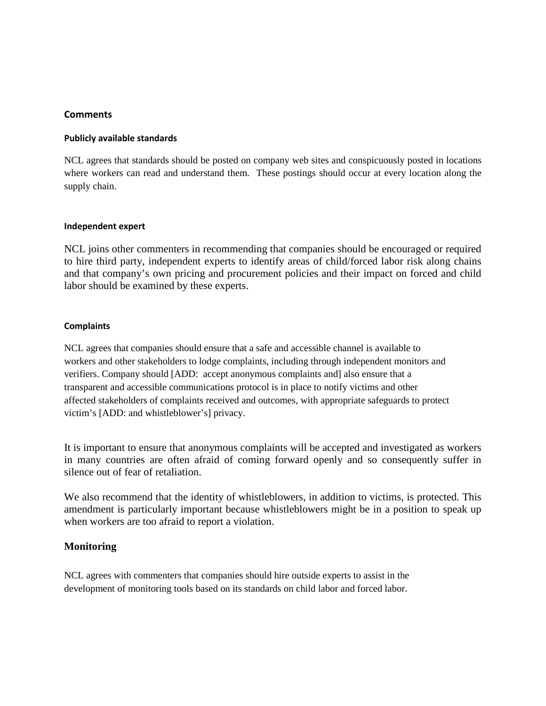### **Comments**

### **Publicly available standards**

NCL agrees that standards should be posted on company web sites and conspicuously posted in locations where workers can read and understand them. These postings should occur at every location along the supply chain.

#### **Independent expert**

NCL joins other commenters in recommending that companies should be encouraged or required to hire third party, independent experts to identify areas of child/forced labor risk along chains and that company's own pricing and procurement policies and their impact on forced and child labor should be examined by these experts.

### **Complaints**

NCL agrees that companies should ensure that a safe and accessible channel is available to workers and other stakeholders to lodge complaints, including through independent monitors and verifiers. Company should [ADD: accept anonymous complaints and] also ensure that a transparent and accessible communications protocol is in place to notify victims and other affected stakeholders of complaints received and outcomes, with appropriate safeguards to protect victim's [ADD: and whistleblower's] privacy.

It is important to ensure that anonymous complaints will be accepted and investigated as workers in many countries are often afraid of coming forward openly and so consequently suffer in silence out of fear of retaliation.

We also recommend that the identity of whistleblowers, in addition to victims, is protected. This amendment is particularly important because whistleblowers might be in a position to speak up when workers are too afraid to report a violation.

# **Monitoring**

NCL agrees with commenters that companies should hire outside experts to assist in the development of monitoring tools based on its standards on child labor and forced labor.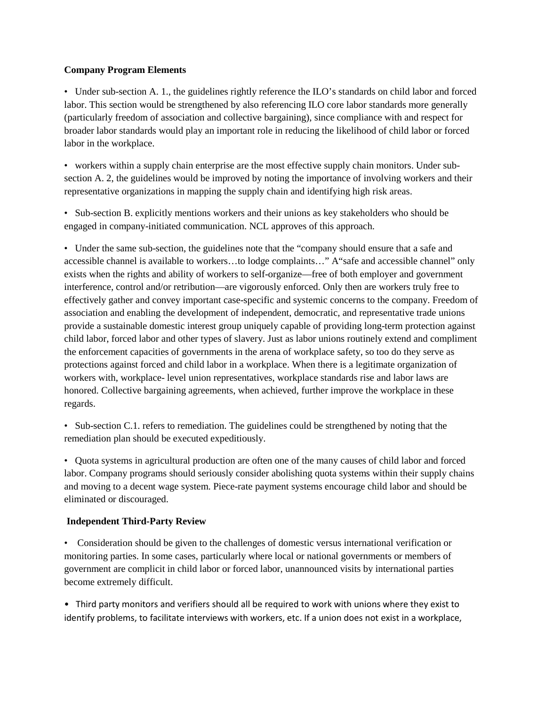### **Company Program Elements**

• Under sub-section A. 1., the guidelines rightly reference the ILO's standards on child labor and forced labor. This section would be strengthened by also referencing ILO core labor standards more generally (particularly freedom of association and collective bargaining), since compliance with and respect for broader labor standards would play an important role in reducing the likelihood of child labor or forced labor in the workplace.

• workers within a supply chain enterprise are the most effective supply chain monitors. Under subsection A. 2, the guidelines would be improved by noting the importance of involving workers and their representative organizations in mapping the supply chain and identifying high risk areas.

• Sub-section B. explicitly mentions workers and their unions as key stakeholders who should be engaged in company-initiated communication. NCL approves of this approach.

• Under the same sub-section, the guidelines note that the "company should ensure that a safe and accessible channel is available to workers…to lodge complaints…" A"safe and accessible channel" only exists when the rights and ability of workers to self-organize—free of both employer and government interference, control and/or retribution—are vigorously enforced. Only then are workers truly free to effectively gather and convey important case-specific and systemic concerns to the company. Freedom of association and enabling the development of independent, democratic, and representative trade unions provide a sustainable domestic interest group uniquely capable of providing long-term protection against child labor, forced labor and other types of slavery. Just as labor unions routinely extend and compliment the enforcement capacities of governments in the arena of workplace safety, so too do they serve as protections against forced and child labor in a workplace. When there is a legitimate organization of workers with, workplace- level union representatives, workplace standards rise and labor laws are honored. Collective bargaining agreements, when achieved, further improve the workplace in these regards.

• Sub-section C.1. refers to remediation. The guidelines could be strengthened by noting that the remediation plan should be executed expeditiously.

• Quota systems in agricultural production are often one of the many causes of child labor and forced labor. Company programs should seriously consider abolishing quota systems within their supply chains and moving to a decent wage system. Piece-rate payment systems encourage child labor and should be eliminated or discouraged.

### **Independent Third-Party Review**

• Consideration should be given to the challenges of domestic versus international verification or monitoring parties. In some cases, particularly where local or national governments or members of government are complicit in child labor or forced labor, unannounced visits by international parties become extremely difficult.

• Third party monitors and verifiers should all be required to work with unions where they exist to identify problems, to facilitate interviews with workers, etc. If a union does not exist in a workplace,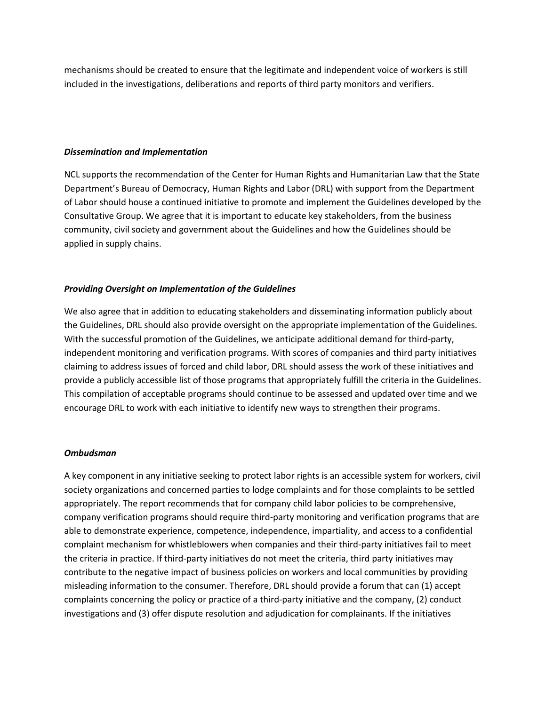mechanisms should be created to ensure that the legitimate and independent voice of workers is still included in the investigations, deliberations and reports of third party monitors and verifiers.

#### *Dissemination and Implementation*

NCL supports the recommendation of the Center for Human Rights and Humanitarian Law that the State Department's Bureau of Democracy, Human Rights and Labor (DRL) with support from the Department of Labor should house a continued initiative to promote and implement the Guidelines developed by the Consultative Group. We agree that it is important to educate key stakeholders, from the business community, civil society and government about the Guidelines and how the Guidelines should be applied in supply chains.

## *Providing Oversight on Implementation of the Guidelines*

We also agree that in addition to educating stakeholders and disseminating information publicly about the Guidelines, DRL should also provide oversight on the appropriate implementation of the Guidelines. With the successful promotion of the Guidelines, we anticipate additional demand for third-party, independent monitoring and verification programs. With scores of companies and third party initiatives claiming to address issues of forced and child labor, DRL should assess the work of these initiatives and provide a publicly accessible list of those programs that appropriately fulfill the criteria in the Guidelines. This compilation of acceptable programs should continue to be assessed and updated over time and we encourage DRL to work with each initiative to identify new ways to strengthen their programs.

### *Ombudsman*

A key component in any initiative seeking to protect labor rights is an accessible system for workers, civil society organizations and concerned parties to lodge complaints and for those complaints to be settled appropriately. The report recommends that for company child labor policies to be comprehensive, company verification programs should require third-party monitoring and verification programs that are able to demonstrate experience, competence, independence, impartiality, and access to a confidential complaint mechanism for whistleblowers when companies and their third-party initiatives fail to meet the criteria in practice. If third-party initiatives do not meet the criteria, third party initiatives may contribute to the negative impact of business policies on workers and local communities by providing misleading information to the consumer. Therefore, DRL should provide a forum that can (1) accept complaints concerning the policy or practice of a third-party initiative and the company, (2) conduct investigations and (3) offer dispute resolution and adjudication for complainants. If the initiatives